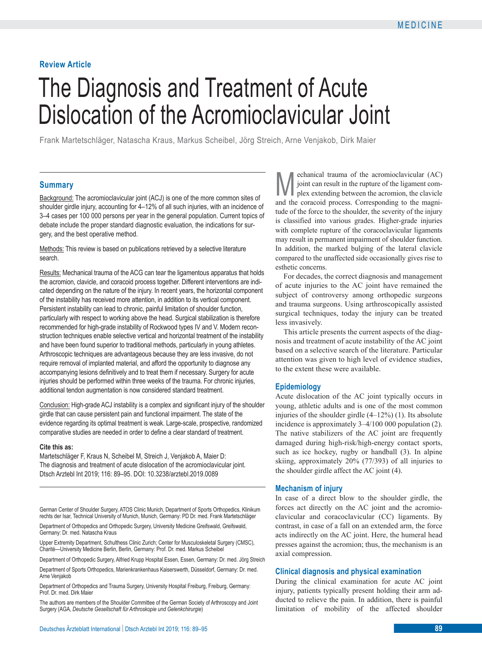# **Review Article**

# The Diagnosis and Treatment of Acute Dislocation of the Acromioclavicular Joint

Frank Martetschläger, Natascha Kraus, Markus Scheibel, Jörg Streich, Arne Venjakob, Dirk Maier

# **Summary**

Background: The acromioclavicular joint (ACJ) is one of the more common sites of shoulder girdle injury, accounting for 4–12% of all such injuries, with an incidence of 3–4 cases per 100 000 persons per year in the general population. Current topics of debate include the proper standard diagnostic evaluation, the indications for surgery, and the best operative method.

Methods: This review is based on publications retrieved by a selective literature search.

Results: Mechanical trauma of the ACG can tear the ligamentous apparatus that holds the acromion, clavicle, and coracoid process together. Different interventions are indicated depending on the nature of the injury. In recent years, the horizontal component of the instability has received more attention, in addition to its vertical component. Persistent instability can lead to chronic, painful limitation of shoulder function, particularly with respect to working above the head. Surgical stabilization is therefore recommended for high-grade instability of Rockwood types IV and V. Modern reconstruction techniques enable selective vertical and horizontal treatment of the instability and have been found superior to traditional methods, particularly in young athletes. Arthroscopic techniques are advantageous because they are less invasive, do not require removal of implanted material, and afford the opportunity to diagnose any accompanying lesions definitively and to treat them if necessary. Surgery for acute injuries should be performed within three weeks of the trauma. For chronic injuries, additional tendon augmentation is now considered standard treatment.

Conclusion: High-grade ACJ instability is a complex and significant injury of the shoulder girdle that can cause persistent pain and functional impairment. The state of the evidence regarding its optimal treatment is weak. Large-scale, prospective, randomized comparative studies are needed in order to define a clear standard of treatment.

#### **Cite this as:**

Martetschläger F, Kraus N, Scheibel M, Streich J, Venjakob A, Maier D: The diagnosis and treatment of acute dislocation of the acromioclavicular joint. Dtsch Arztebl Int 2019; 116: 89–95. DOI: 10.3238/arztebl.2019.0089

German Center of Shoulder Surgery, ATOS Clinic Munich, Department of Sports Orthopedics, Klinikum rechts der Isar, Technical University of Munich, Munich, Germany: PD Dr. med. Frank Martetschläger

Department of Orthopedics and Orthopedic Surgery, University Medicine Greifswald, Greifswald, Germany: Dr. med. Natascha Kraus

Upper Extremity Department, Schulthess Clinic Zurich; Center for Musculoskeletal Surgery (CMSC), Charité—University Medicine Berlin, Berlin, Germany: Prof. Dr. med. Markus Scheibel

Department of Orthopedic Surgery, Alfried Krupp Hospital Essen, Essen, Germany: Dr. med. Jörg Streich

Department of Sports Orthopedics, Marienkrankenhaus Kaiserswerth, Düsseldorf, Germany: Dr. med. Arne Venjakob

Department of Orthopedics and Trauma Surgery, University Hospital Freiburg, Freiburg, Germany: Prof. Dr. med. Dirk Maier

The authors are members of the Shoulder Committee of the German Society of Arthroscopy and Joint Surgery (AGA, *Deutsche Gesellschaft für Arthroskopie und Gelenkchirurgie*)

**M** echanical trauma of the acromioclavicular (AC) joint can result in the rupture of the ligament complex extending between the acromion, the clavicle joint can result in the rupture of the ligament comand the coracoid process. Corresponding to the magnitude of the force to the shoulder, the severity of the injury is classified into various grades. Higher-grade injuries with complete rupture of the coracoclavicular ligaments may result in permanent impairment of shoulder function. In addition, the marked bulging of the lateral clavicle compared to the unaffected side occasionally gives rise to esthetic concerns.

For decades, the correct diagnosis and management of acute injuries to the AC joint have remained the subject of controversy among orthopedic surgeons and trauma surgeons. Using arthroscopically assisted surgical techniques, today the injury can be treated less invasively.

This article presents the current aspects of the diagnosis and treatment of acute instability of the AC joint based on a selective search of the literature. Particular attention was given to high level of evidence studies, to the extent these were available.

#### **Epidemiology**

Acute dislocation of the AC joint typically occurs in young, athletic adults and is one of the most common injuries of the shoulder girdle  $(4-12\%)$  (1). Its absolute incidence is approximately 3–4/100 000 population (2). The native stabilizers of the AC joint are frequently damaged during high-risk/high-energy contact sports, such as ice hockey, rugby or handball (3). In alpine skiing, approximately 20% (77/393) of all injuries to the shoulder girdle affect the AC joint (4).

#### **Mechanism of injury**

In case of a direct blow to the shoulder girdle, the forces act directly on the AC joint and the acromioclavicular and coracoclavicular (CC) ligaments. By contrast, in case of a fall on an extended arm, the force acts indirectly on the AC joint. Here, the humeral head presses against the acromion; thus, the mechanism is an axial compression.

#### **Clinical diagnosis and physical examination**

During the clinical examination for acute AC joint injury, patients typically present holding their arm adducted to relieve the pain. In addition, there is painful limitation of mobility of the affected shoulder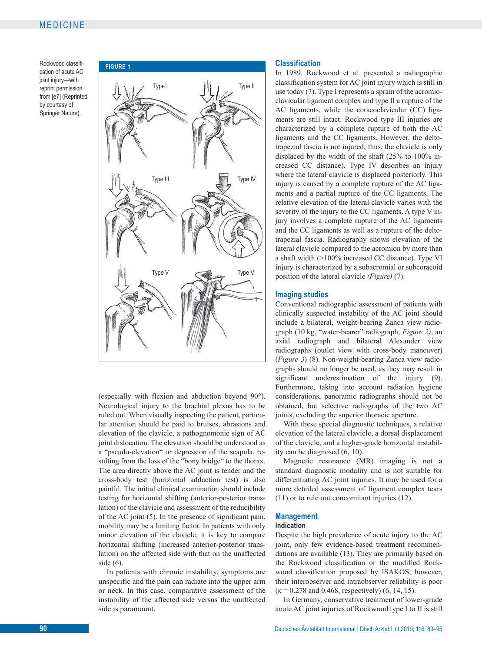**FIGURE 1** Rockwood classification of acute AC joint injury—with reprint permission from [e7] (Reprinted by courtesy of Springer Nature).



 (especially with flexion and abduction beyond 90°). Neurological injury to the brachial plexus has to be ruled out. When visually inspecting the patient, particular attention should be paid to bruises, abrasions and elevation of the clavicle, a pathognomonic sign of AC joint dislocation. The elevation should be understood as a "pseudo-elevation" or depression of the scapula, resulting from the loss of the "bony bridge" to the thorax. The area directly above the AC joint is tender and the cross-body test (horizontal adduction test) is also painful. The initial clinical examination should include testing for horizontal shifting (anterior-posterior translation) of the clavicle and assessment of the reducibility of the AC joint (5). In the presence of significant pain, mobility may be a limiting factor. In patients with only minor elevation of the clavicle, it is key to compare horizontal shifting (increased anterior-posterior translation) on the affected side with that on the unaffected side (6).

In patients with chronic instability, symptoms are unspecific and the pain can radiate into the upper arm or neck. In this case, comparative assessment of the instability of the affected side versus the unaffected side is paramount.

### **Classification**

In 1989, Rockwood et al. presented a radiographic classification system for AC joint injury which is still in use today (7). Type I represents a sprain of the acromioclavicular ligament complex and type II a rupture of the AC ligaments, while the coracoclavicular (CC) ligaments are still intact. Rockwood type III injuries are characterized by a complete rupture of both the AC ligaments and the CC ligaments. However, the delto trapezial fascia is not injured; thus, the clavicle is only displaced by the width of the shaft (25% to 100% increased CC distance). Type IV describes an injury where the lateral clavicle is displaced posteriorly. This injury is caused by a complete rupture of the AC ligaments and a partial rupture of the CC ligaments. The relative elevation of the lateral clavicle varies with the severity of the injury to the CC ligaments. A type V injury involves a complete rupture of the AC ligaments and the CC ligaments as well as a rupture of the deltotrapezial fascia. Radiography shows elevation of the lateral clavicle compared to the acromion by more than a shaft width (>100% increased CC distance). Type VI injury is characterized by a subacromial or subcoracoid position of the lateral clavicle *(Figure)* (7).

#### **Imaging studies**

Conventional radiographic assessment of patients with clinically suspected instability of the AC joint should include a bilateral, weight-bearing Zanca view radiograph (10 kg, "water-bearer" radiograph, *Figure 2)*, an axial radiograph and bilateral Alexander view radiographs (outlet view with cross-body maneuver) (*Figure 3*) (8). Non-weight-bearing Zanca view radiographs should no longer be used, as they may result in significant underestimation of the injury (9). Furthermore, taking into account radiation hygiene considerations, panoramic radiographs should not be obtained, but selective radiographs of the two AC joints, excluding the superior thoracic aperture.

With these special diagnostic techniques, a relative elevation of the lateral clavicle, a dorsal displacement of the clavicle, and a higher-grade horizontal instability can be diagnosed (6, 10).

Magnetic resonance (MR) imaging is not a standard diagnostic modality and is not suitable for differentiating AC joint injuries. It may be used for a more detailed assessment of ligament complex tears (11) or to rule out concomitant injuries (12).

# **Management**

# **Indication**

Despite the high prevalence of acute injury to the AC joint, only few evidence-based treatment recommendations are available (13). They are primarily based on the Rockwood classification or the modified Rockwood classification proposed by ISAKOS; however, their interobserver and intraobserver reliability is poor  $(k = 0.278$  and 0.468, respectively) (6, 14, 15).

In Germany, conservative treatment of lower-grade acute AC joint injuries of Rockwood type I to II is still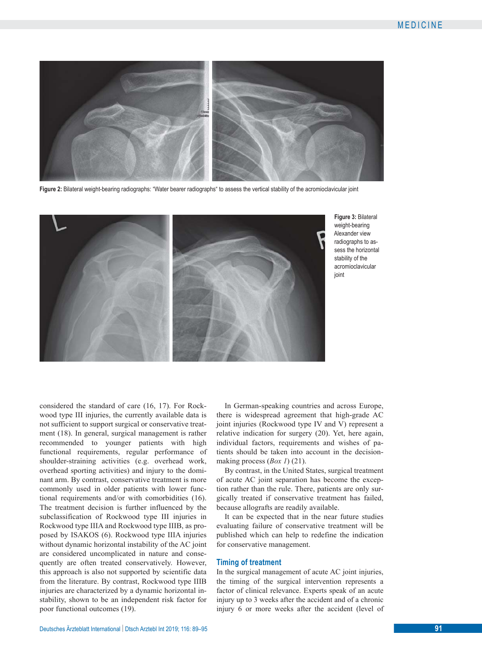

**Figure 2:** Bilateral weight-bearing radiographs: "Water bearer radiographs" to assess the vertical stability of the acromioclavicular joint



**Figure 3:** Bilateral weight-bearing Alexander view radiographs to assess the horizontal stability of the acromioclavicular joint

considered the standard of care (16, 17). For Rockwood type III injuries, the currently available data is not sufficient to support surgical or conservative treatment (18). In general, surgical management is rather recommended to younger patients with high functional requirements, regular performance of shoulder-straining activities (e.g. overhead work, overhead sporting activities) and injury to the dominant arm. By contrast, conservative treatment is more commonly used in older patients with lower functional requirements and/or with comorbidities (16). The treatment decision is further influenced by the subclassification of Rockwood type III injuries in Rockwood type IIIA and Rockwood type IIIB, as proposed by ISAKOS (6). Rockwood type IIIA injuries without dynamic horizontal instability of the AC joint are considered uncomplicated in nature and consequently are often treated conservatively. However, this approach is also not supported by scientific data from the literature. By contrast, Rockwood type IIIB injuries are characterized by a dynamic horizontal instability, shown to be an independent risk factor for poor functional outcomes (19).

In German-speaking countries and across Europe, there is widespread agreement that high-grade AC joint injuries (Rockwood type IV and V) represent a relative indication for surgery (20). Yet, here again, individual factors, requirements and wishes of patients should be taken into account in the decisionmaking process (*Box 1*) (21).

By contrast, in the United States, surgical treatment of acute AC joint separation has become the exception rather than the rule. There, patients are only surgically treated if conservative treatment has failed, because allografts are readily available.

It can be expected that in the near future studies evaluating failure of conservative treatment will be published which can help to redefine the indication for conservative management.

#### **Timing of treatment**

In the surgical management of acute AC joint injuries, the timing of the surgical intervention represents a factor of clinical relevance. Experts speak of an acute injury up to 3 weeks after the accident and of a chronic injury 6 or more weeks after the accident (level of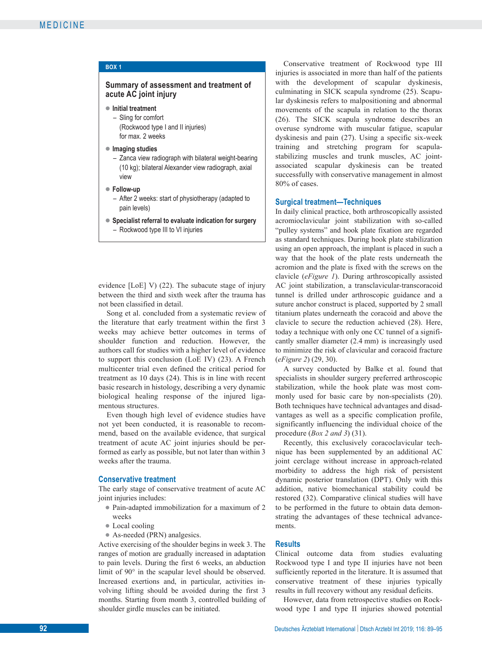| BOX <sub>1</sub>                                                                                                                        |
|-----------------------------------------------------------------------------------------------------------------------------------------|
| Summary of assessment and treatment of<br>acute AC joint injury                                                                         |
| Initial treatment<br>- Sling for comfort<br>(Rockwood type I and II injuries)<br>for max. 2 weeks                                       |
| Imaging studies<br>- Zanca view radiograph with bilateral weight-bearing<br>(10 kg); bilateral Alexander view radiograph, axial<br>view |
| ▶ Follow-up<br>- After 2 weeks: start of physiotherapy (adapted to<br>pain levels)                                                      |
| Specialist referral to evaluate indication for surgery<br>- Rockwood type III to VI injuries                                            |

 evidence [LoE] V) (22). The subacute stage of injury between the third and sixth week after the trauma has not been classified in detail.

Song et al. concluded from a systematic review of the literature that early treatment within the first 3 weeks may achieve better outcomes in terms of shoulder function and reduction. However, the authors call for studies with a higher level of evidence to support this conclusion (LoE IV) (23). A French multicenter trial even defined the critical period for treatment as 10 days (24). This is in line with recent basic research in histology, describing a very dynamic biological healing response of the injured ligamentous structures.

Even though high level of evidence studies have not yet been conducted, it is reasonable to recommend, based on the available evidence, that surgical treatment of acute AC joint injuries should be performed as early as possible, but not later than within 3 weeks after the trauma.

#### **Conservative treatment**

The early stage of conservative treatment of acute AC joint injuries includes:

- **●** Pain-adapted immobilization for a maximum of 2 weeks
- **●** Local cooling
- **●** As-needed (PRN) analgesics.

Active exercising of the shoulder begins in week 3. The ranges of motion are gradually increased in adaptation to pain levels. During the first 6 weeks, an abduction limit of 90° in the scapular level should be observed. Increased exertions and, in particular, activities involving lifting should be avoided during the first 3 months. Starting from month 3, controlled building of shoulder girdle muscles can be initiated.

Conservative treatment of Rockwood type III injuries is associated in more than half of the patients with the development of scapular dyskinesis, culminating in SICK scapula syndrome (25). Scapular dyskinesis refers to malpositioning and abnormal movements of the scapula in relation to the thorax (26). The SICK scapula syndrome describes an overuse syndrome with muscular fatigue, scapular dyskinesis and pain (27). Using a specific six-week training and stretching program for scapula stabilizing muscles and trunk muscles, AC joint associated scapular dyskinesis can be treated successfully with conservative management in almost 80% of cases.

#### **Surgical treatment—Techniques**

In daily clinical practice, both arthroscopically assisted acromioclavicular joint stabilization with so-called "pulley systems" and hook plate fixation are regarded as standard techniques. During hook plate stabilization using an open approach, the implant is placed in such a way that the hook of the plate rests underneath the acromion and the plate is fixed with the screws on the clavicle (*eFigure 1*). During arthroscopically assisted AC joint stabilization, a transclavicular-transcoracoid tunnel is drilled under arthroscopic guidance and a suture anchor construct is placed, supported by 2 small titanium plates underneath the coracoid and above the clavicle to secure the reduction achieved (28). Here, today a technique with only one CC tunnel of a significantly smaller diameter (2.4 mm) is increasingly used to minimize the risk of clavicular and coracoid fracture (*eFigure 2*) (29, 30).

A survey conducted by Balke et al. found that specialists in shoulder surgery preferred arthroscopic stabilization, while the hook plate was most commonly used for basic care by non-specialists (20). Both techniques have technical advantages and disadvantages as well as a specific complication profile, significantly influencing the individual choice of the procedure (*Box 2 and 3*) (31).

Recently, this exclusively coracoclavicular technique has been supplemented by an additional AC joint cerclage without increase in approach-related morbidity to address the high risk of persistent dynamic posterior translation (DPT). Only with this addition, native biomechanical stability could be restored (32). Comparative clinical studies will have to be performed in the future to obtain data demonstrating the advantages of these technical advancements.

#### **Results**

Clinical outcome data from studies evaluating Rockwood type I and type II injuries have not been sufficiently reported in the literature. It is assumed that conservative treatment of these injuries typically results in full recovery without any residual deficits.

However, data from retrospective studies on Rockwood type I and type II injuries showed potential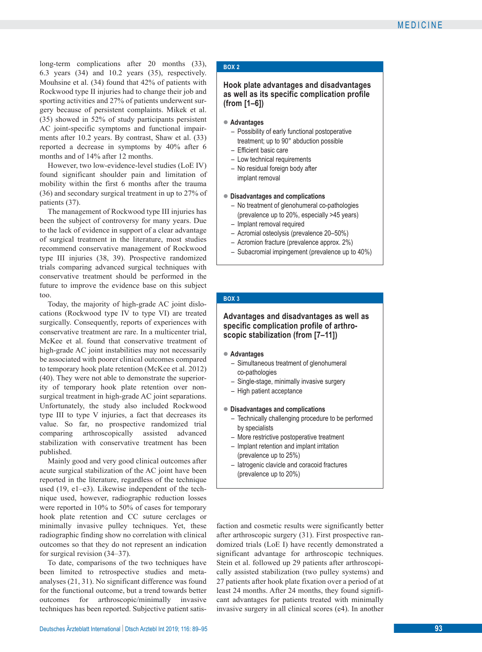long-term complications after 20 months (33), 6.3 years (34) and 10.2 years (35), respectively. Mouhsine et al. (34) found that 42% of patients with Rockwood type II injuries had to change their job and sporting activities and 27% of patients underwent surgery because of persistent complaints. Mikek et al. (35) showed in 52% of study participants persistent AC joint-specific symptoms and functional impairments after 10.2 years. By contrast, Shaw et al. (33) reported a decrease in symptoms by 40% after 6 months and of 14% after 12 months.

However, two low-evidence-level studies (LoE IV) found significant shoulder pain and limitation of mobility within the first 6 months after the trauma (36) and secondary surgical treatment in up to 27% of patients (37).

The management of Rockwood type III injuries has been the subject of controversy for many years. Due to the lack of evidence in support of a clear advantage of surgical treatment in the literature, most studies recommend conservative management of Rockwood type III injuries (38, 39). Prospective randomized trials comparing advanced surgical techniques with conservative treatment should be performed in the future to improve the evidence base on this subject too.

Today, the majority of high-grade AC joint dislocations (Rockwood type IV to type VI) are treated surgically. Consequently, reports of experiences with conservative treatment are rare. In a multicenter trial, McKee et al. found that conservative treatment of high-grade AC joint instabilities may not necessarily be associated with poorer clinical outcomes compared to temporary hook plate retention (McKee et al. 2012) (40). They were not able to demonstrate the superiority of temporary hook plate retention over non surgical treatment in high-grade AC joint separations. Unfortunately, the study also included Rockwood type III to type V injuries, a fact that decreases its value. So far, no prospective randomized trial comparing arthroscopically assisted advanced stabilization with conservative treatment has been published.

Mainly good and very good clinical outcomes after acute surgical stabilization of the AC joint have been reported in the literature, regardless of the technique used (19, e1–e3). Likewise independent of the technique used, however, radiographic reduction losses were reported in 10% to 50% of cases for temporary hook plate retention and CC suture cerclages or minimally invasive pulley techniques. Yet, these radiographic finding show no correlation with clinical outcomes so that they do not represent an indication for surgical revision (34–37).

To date, comparisons of the two techniques have been limited to retrospective studies and meta analyses (21, 31). No significant difference was found for the functional outcome, but a trend towards better outcomes for arthroscopic/minimally invasive techniques has been reported. Subjective patient satis-

#### **BOX 2**

## **Hook plate advantages and disadvantages as well as its specific complication profile (from [1–6])**

#### **● Advantages**

- Possibility of early functional postoperative treatment; up to 90° abduction possible
- Efficient basic care
- Low technical requirements
- No residual foreign body after implant removal
- **● Disadvantages and complications**
	- No treatment of glenohumeral co-pathologies (prevalence up to 20%, especially >45 years)
	- Implant removal required
	- Acromial osteolysis (prevalence 20–50%)
	- Acromion fracture (prevalence approx. 2%)
	- Subacromial impingement (prevalence up to 40%)

#### **BOX 3**

## **Advantages and disadvantages as well as specific complication profile of arthroscopic stabilization (from [7–11])**

#### **● Advantages**

- Simultaneous treatment of glenohumeral co-pathologies
- Single-stage, minimally invasive surgery
- High patient acceptance

#### **● Disadvantages and complications**

- Technically challenging procedure to be performed by specialists
- More restrictive postoperative treatment
- Implant retention and implant irritation (prevalence up to 25%)
- Iatrogenic clavicle and coracoid fractures (prevalence up to 20%)

faction and cosmetic results were significantly better after arthroscopic surgery (31). First prospective randomized trials (LoE I) have recently demonstrated a significant advantage for arthroscopic techniques. Stein et al. followed up 29 patients after arthroscopically assisted stabilization (two pulley systems) and 27 patients after hook plate fixation over a period of at least 24 months. After 24 months, they found significant advantages for patients treated with minimally invasive surgery in all clinical scores (e4). In another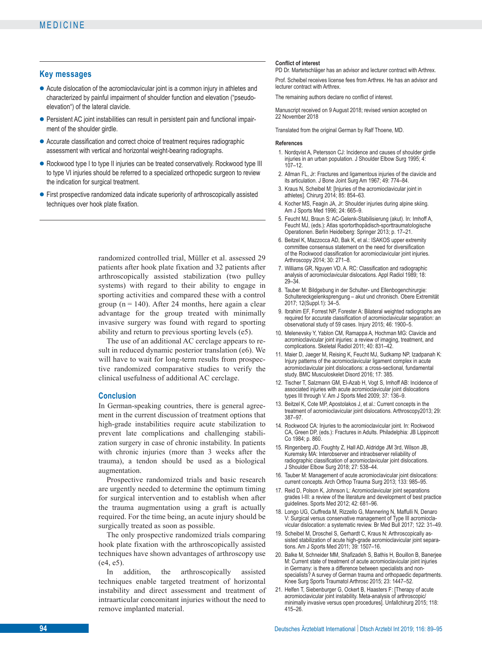#### **Key messages**

- **●** Acute dislocation of the acromioclavicular joint is a common injury in athletes and characterized by painful impairment of shoulder function and elevation ("pseudoelevation") of the lateral clavicle.
- Persistent AC joint instabilities can result in persistent pain and functional impairment of the shoulder girdle.
- **●** Accurate classification and correct choice of treatment requires radiographic assessment with vertical and horizontal weight-bearing radiographs.
- **●** Rockwood type I to type II injuries can be treated conservatively. Rockwood type III to type VI injuries should be referred to a specialized orthopedic surgeon to review the indication for surgical treatment.
- **●** First prospective randomized data indicate superiority of arthroscopically assisted techniques over hook plate fixation.

randomized controlled trial, Müller et al. assessed 29 patients after hook plate fixation and 32 patients after arthroscopically assisted stabilization (two pulley systems) with regard to their ability to engage in sporting activities and compared these with a control group ( $n = 140$ ). After 24 months, here again a clear advantage for the group treated with minimally invasive surgery was found with regard to sporting ability and return to previous sporting levels (e5).

The use of an additional AC cerclage appears to result in reduced dynamic posterior translation (e6). We will have to wait for long-term results from prospective randomized comparative studies to verify the clinical usefulness of additional AC cerclage.

#### **Conclusion**

In German-speaking countries, there is general agreement in the current discussion of treatment options that high-grade instabilities require acute stabilization to prevent late complications and challenging stabilization surgery in case of chronic instability. In patients with chronic injuries (more than 3 weeks after the trauma), a tendon should be used as a biological augmentation.

Prospective randomized trials and basic research are urgently needed to determine the optimum timing for surgical intervention and to establish when after the trauma augmentation using a graft is actually required. For the time being, an acute injury should be surgically treated as soon as possible.

The only prospective randomized trials comparing hook plate fixation with the arthroscopically assisted techniques have shown advantages of arthroscopy use (e4, e5).

In addition, the arthroscopically assisted techniques enable targeted treatment of horizontal instability and direct assessment and treatment of intraarticular concomitant injuries without the need to remove implanted material.

#### **Conflict of interest**

PD Dr. Martetschläger has an advisor and lecturer contract with Arthrex.

Prof. Scheibel receives license fees from Arthrex. He has an advisor and lecturer contract with Arthrex.

The remaining authors declare no conflict of interest.

Manuscript received on 9 August 2018; revised version accepted on 22 November 2018

Translated from the original German by Ralf Thoene, MD.

#### **References**

- 1. Nordqvist A, Petersson CJ: Incidence and causes of shoulder girdle injuries in an urban population. J Shoulder Elbow Surg 1995: 4:  $107 - 12$
- 2. Allman FL, Jr: Fractures and ligamentous injuries of the clavicle and its articulation. J Bone Joint Surg Am 1967; 49: 774–84.
- 3. Kraus N, Scheibel M: [Injuries of the acromioclavicular joint in athletes]. Chirurg 2014; 85: 854–63.
- 4. Kocher MS, Feagin JA, Jr: Shoulder injuries during alpine skiing. Am J Sports Med 1996; 24: 665–9.
- 5. Feucht MJ, Braun S: AC-Gelenk-Stabilisierung (akut). In: Imhoff A, Feucht MJ, (eds.): Atlas sportorthopädisch-sporttraumatologische Operationen. Berlin Heidelberg: Springer 2013; p. 17–21.
- 6. Beitzel K, Mazzocca AD, Bak K, et al.: ISAKOS upper extremity committee consensus statement on the need for diversification of the Rockwood classification for acromioclavicular joint injuries. Arthroscopy 2014; 30: 271-8.
- 7. Williams GR, Nguyen VD, A. RC: Classification and radiographic analysis of acromioclavicular dislocations. Appl Radiol 1989; 18: 29–34.
- 8. Tauber M: Bildgebung in der Schulter- und Ellenbogenchirurgie: Schultereckgelenksprengung – akut und chronisch. Obere Extremität 2017; 12(Suppl.1): 34–5.
- 9. Ibrahim EF, Forrest NP, Forester A: Bilateral weighted radiographs are required for accurate classification of acromioclavicular separation: an observational study of 59 cases. Injury 2015; 46: 1900–5.
- 10. Melenevsky Y, Yablon CM, Ramappa A, Hochman MG: Clavicle and acromioclavicular joint injuries: a review of imaging, treatment, and complications. Skeletal Radiol 2011; 40: 831–42.
- 11. Maier D, Jaeger M, Reising K, Feucht MJ, Sudkamp NP, Izadpanah K: Injury patterns of the acromioclavicular ligament complex in acute acromioclavicular joint dislocations: a cross-sectional, fundamental study. BMC Musculoskelet Disord 2016; 17: 385.
- 12. Tischer T, Salzmann GM, El-Azab H, Vogt S, Imhoff AB: Incidence of associated injuries with acute acromioclavicular joint dislocations types III through V. Am J Sports Med 2009; 37: 136–9.
- 13. Beitzel K, Cote MP, Apostolakos J, et al.: Current concepts in the treatment of acromioclavicular joint dislocations. Arthroscopy2013; 29: 387–97.
- 14. Rockwood CA: Injuries to the acromioclavicular joint. In: Rockwood CA, Green DP, (eds.): Fractures in Adults. Philadelphia: JB Lippincott Co 1984; p. 860.
- 15. Ringenberg JD, Foughty Z, Hall AD, Aldridge JM 3rd, Wilson JB, Kuremsky MA: Interobserver and intraobserver reliability of radiographic classification of acromioclavicular joint dislocations. J Shoulder Elbow Surg 2018; 27: 538–44.
- 16. Tauber M: Management of acute acromioclavicular joint dislocations: current concepts. Arch Orthop Trauma Surg 2013; 133: 985-95.
- 17. Reid D, Polson K, Johnson L: Acromioclavicular joint separations grades I-III: a review of the literature and development of best practice guidelines. Sports Med 2012; 42: 681–96.
- 18. Longo UG, Ciuffreda M, Rizzello G, Mannering N, Maffulli N, Denaro V: Surgical versus conservative management of Type III acromioclavicular dislocation: a systematic review. Br Med Bull 2017; 122: 31–49.
- 19. Scheibel M, Droschel S, Gerhardt C, Kraus N: Arthroscopically assisted stabilization of acute high-grade acromioclavicular joint separa tions. Am J Sports Med 2011; 39: 1507–16.
- 20. Balke M, Schneider MM, Shafizadeh S, Bathis H, Bouillon B, Banerjee M: Current state of treatment of acute acromioclavicular joint injuries in Germany: is there a difference between specialists and non specialists? A survey of German trauma and orthopaedic departments. Knee Surg Sports Traumatol Arthrosc 2015; 23: 1447–52.
- 21. Helfen T, Siebenburger G, Ockert B, Haasters F: [Therapy of acute acromioclavicular joint instability. Meta-analysis of arthroscopic/ minimally invasive versus open procedures]. Unfallchirurg 2015; 118: 415–26.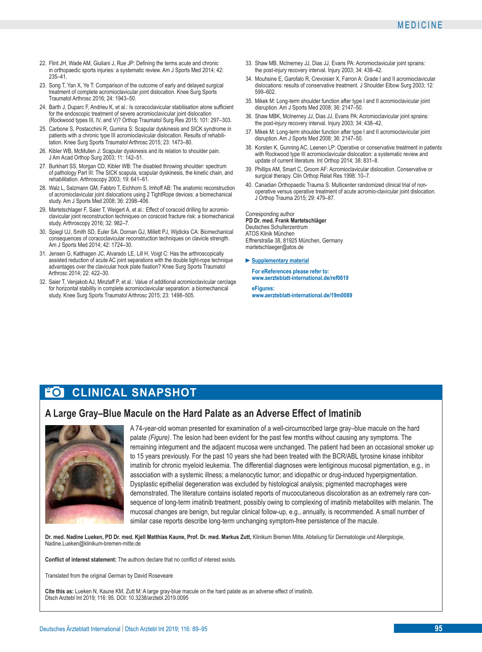- 22. Flint JH, Wade AM, Giuliani J, Rue JP: Defining the terms acute and chronic in orthopaedic sports injuries: a systematic review. Am J Sports Med 2014; 42: 235–41.
- 23. Song T, Yan X, Ye T: Comparison of the outcome of early and delayed surgical treatment of complete acromioclavicular joint dislocation. Knee Surg Sports Traumatol Arthrosc 2016; 24: 1943–50.
- 24. Barth J, Duparc F, Andrieu K, et al.: Is coracoclavicular stabilisation alone sufficient for the endoscopic treatment of severe acromioclavicular joint dislocation (Rockwood types III, IV, and V)? Orthop Traumatol Surg Res 2015; 101: 297-303.
- 25. Carbone S, Postacchini R, Gumina S: Scapular dyskinesis and SICK syndrome in patients with a chronic type III acromioclavicular dislocation. Results of rehabilitation. Knee Surg Sports Traumatol Arthrosc 2015; 23: 1473–80.
- 26. Kibler WB, McMullen J: Scapular dyskinesis and its relation to shoulder pain. J Am Acad Orthop Surg 2003; 11: 142–51.
- 27. Burkhart SS. Morgan CD. Kibler WB: The disabled throwing shoulder: spectrum of pathology Part III: The SICK scapula, scapular dyskinesis, the kinetic chain, and rehabilitation. Arthroscopy 2003; 19: 641–61.
- 28. Walz L, Salzmann GM, Fabbro T, Eichhorn S, Imhoff AB: The anatomic reconstruction of acromioclavicular joint dislocations using 2 TightRope devices: a biomechanical study. Am J Sports Med 2008; 36: 2398–406.
- 29. Martetschlager F, Saier T, Weigert A, et al.: Effect of coracoid drilling for acromioclavicular joint reconstruction techniques on coracoid fracture risk: a biomechanical study. Arthroscopy 2016; 32: 982–7.
- 30. Spiegl UJ, Smith SD, Euler SA, Dornan GJ, Millett PJ, Wijdicks CA: Biomechanical consequences of coracoclavicular reconstruction techniques on clavicle strength. Am J Sports Med 2014; 42: 1724–30.
- 31. Jensen G, Katthagen JC, Alvarado LE, Lill H, Voigt C: Has the arthroscopically assisted reduction of acute AC joint separations with the double tight-rope technique advantages over the clavicular hook plate fixation? Knee Surg Sports Traumatol Arthrosc 2014; 22: 422–30.
- 32. Saier T, Venjakob AJ, Minzlaff P, et al.: Value of additional acromioclavicular cerclage for horizontal stability in complete acromioclavicular separation: a biomechanical study. Knee Surg Sports Traumatol Arthrosc 2015; 23: 1498–505.
- 33. Shaw MB, McInerney JJ, Dias JJ, Evans PA: Acromioclavicular joint sprains: the post-injury recovery interval. Injury 2003; 34: 438–42.
- 34. Mouhsine E, Garofalo R, Crevoisier X, Farron A: Grade I and II acromioclavicular dislocations: results of conservative treatment. J Shoulder Flbow Surg 2003; 12: 599–602.
- 35. Mikek M: Long-term shoulder function after type I and II acromioclavicular joint disruption. Am J Sports Med 2008; 36: 2147–50.
- 36. Shaw MBK, McInerney JJ, Dias JJ, Evans PA: Acromioclavicular joint sprains: the post-injury recovery interval. Injury 2003; 34: 438–42.
- 37. Mikek M: Long-term shoulder function after type I and II acromioclavicular joint disruption. Am J Sports Med 2008; 36: 2147–50.
- 38. Korsten K, Gunning AC, Leenen LP: Operative or conservative treatment in patients with Rockwood type III acromioclavicular dislocation: a systematic review and update of current literature. Int Orthop 2014; 38: 831–8.
- 39. Phillips AM, Smart C, Groom AF: Acromioclavicular dislocation. Conservative or surgical therapy. Clin Orthop Relat Res 1998: 10–7.
- 40. Canadian Orthopaedic Trauma S: Multicenter randomized clinical trial of nonoperative versus operative treatment of acute acromio-clavicular joint dislocation. J Orthop Trauma 2015; 29: 479–87.

Corresponding author **PD Dr. med. Frank Martetschläger** Deutsches Schulterzentrum ATOS Klinik München Effnerstraße 38, 81925 München, Germany martetschlaeger@atos.de

- **►Supplementary material**
- **For eReferences please refer to: www.aerzteblatt-international.de/ref0619**

**eFigures: www.aerzteblatt-international.de/19m0089**

# **FOI CLINICAL SNAPSHOT**

# **A Large Gray–Blue Macule on the Hard Palate as an Adverse Effect of Imatinib**



A 74-year-old woman presented for examination of a well-circumscribed large gray–blue macule on the hard palate *(Figure)*. The lesion had been evident for the past few months without causing any symptoms. The remaining integument and the adjacent mucosa were unchanged. The patient had been an occasional smoker up to 15 years previously. For the past 10 years she had been treated with the BCR/ABL tyrosine kinase inhibitor imatinib for chronic myeloid leukemia. The differential diagnoses were lentiginous mucosal pigmentation, e.g., in association with a systemic illness; a melanocytic tumor; and idiopathic or drug-induced hyperpigmentation. Dysplastic epithelial degeneration was excluded by histological analysis; pigmented macrophages were demonstrated. The literature contains isolated reports of mucocutaneous discoloration as an extremely rare consequence of long-term imatinib treatment, possibly owing to complexing of imatinib metabolites with melanin. The mucosal changes are benign, but regular clinical follow-up, e.g., annually, is recommended. A small number of similar case reports describe long-term unchanging symptom-free persistence of the macule.

**Dr. med. Nadine Lueken, PD Dr. med. Kjell Matthias Kaune, Prof. Dr. med. Markus Zutt,** Klinikum Bremen Mitte, Abteilung für Dermatologie und Allergologie, Nadine.Lueken@klinikum-bremen-mitte.de

**Conflict of interest statement:** The authors declare that no conflict of interest exists.

Translated from the original German by David Roseveare

**Cite this as:** Lueken N, Kaune KM, Zutt M: A large gray-blue macule on the hard palate as an adverse effect of imatinib. Dtsch Arztebl Int 2019; 116: 95. DOI: 10.3238/arztebl.2019.0095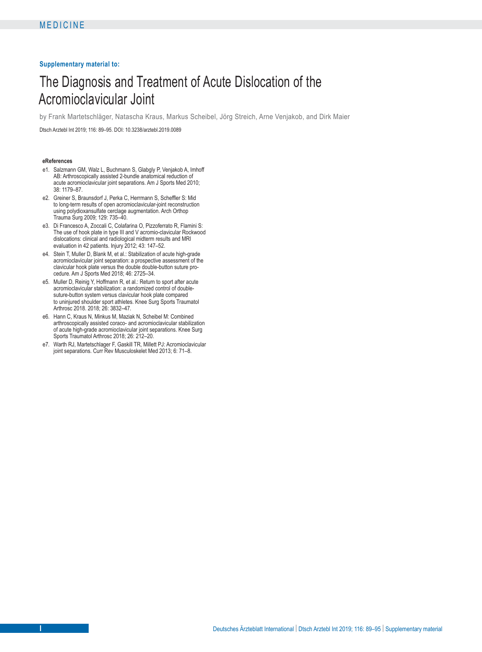#### **Supplementary material to:**

# The Diagnosis and Treatment of Acute Dislocation of the Acromioclavicular Joint

by Frank Martetschläger, Natascha Kraus, Markus Scheibel, Jörg Streich, Arne Venjakob, and Dirk Maier

Dtsch Arztebl Int 2019; 116: 89–95. DOI: 10.3238/arztebl.2019.0089

#### **eReferences**

- e1. Salzmann GM, Walz L, Buchmann S, Glabgly P, Venjakob A, Imhoff AB: Arthroscopically assisted 2-bundle anatomical reduction of acute acromioclavicular joint separations. Am J Sports Med 2010; 38: 1179–87.
- e2. Greiner S, Braunsdorf J, Perka C, Herrmann S, Scheffler S: Mid to long-term results of open acromioclavicular-joint reconstruction using polydioxansulfate cerclage augmentation. Arch Orthop Trauma Surg 2009; 129: 735–40.
- e3. Di Francesco A, Zoccali C, Colafarina O, Pizzoferrato R, Flamini S: The use of hook plate in type III and V acromio-clavicular Rockwood dislocations: clinical and radiological midterm results and MRI evaluation in 42 patients. Injury 2012; 43: 147–52.
- e4. Stein T, Muller D, Blank M, et al.: Stabilization of acute high-grade acromioclavicular joint separation: a prospective assessment of the clavicular hook plate versus the double double-button suture procedure. Am J Sports Med 2018; 46: 2725–34.
- e5. Muller D, Reinig Y, Hoffmann R, et al.: Return to sport after acute acromioclavicular stabilization: a randomized control of double suture-button system versus clavicular hook plate compared to uninjured shoulder sport athletes. Knee Surg Sports Traumatol Arthrosc 2018. 2018; 26: 3832–47.
- e6. Hann C, Kraus N, Minkus M, Maziak N, Scheibel M: Combined arthroscopically assisted coraco- and acromioclavicular stabilization of acute high-grade acromioclavicular joint separations. Knee Surg Sports Traumatol Arthrosc 2018; 26: 212–20.
- e7. Warth RJ, Martetschlager F, Gaskill TR, Millett PJ: Acromioclavicular joint separations. Curr Rev Musculoskelet Med 2013; 6: 71–8.